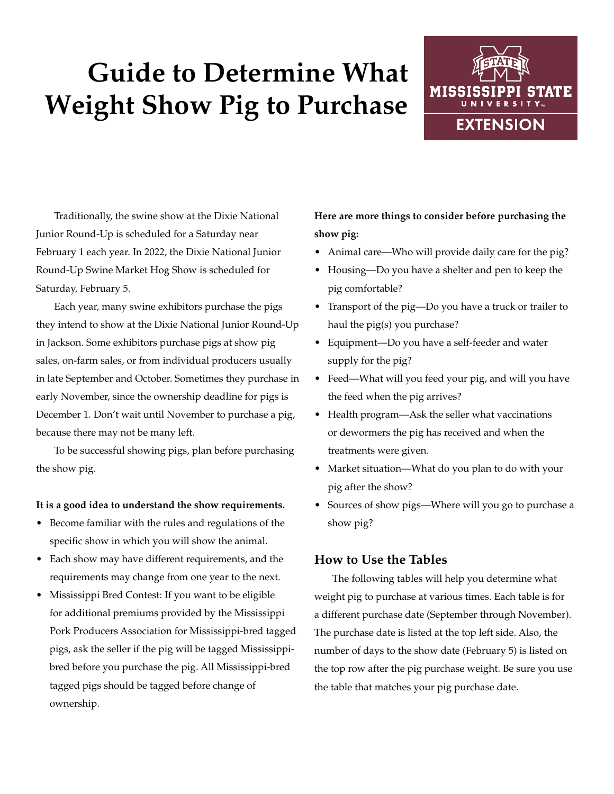# **Guide to Determine What Weight Show Pig to Purchase**



Traditionally, the swine show at the Dixie National Junior Round-Up is scheduled for a Saturday near February 1 each year. In 2022, the Dixie National Junior Round-Up Swine Market Hog Show is scheduled for Saturday, February 5.

Each year, many swine exhibitors purchase the pigs they intend to show at the Dixie National Junior Round-Up in Jackson. Some exhibitors purchase pigs at show pig sales, on-farm sales, or from individual producers usually in late September and October. Sometimes they purchase in early November, since the ownership deadline for pigs is December 1. Don't wait until November to purchase a pig, because there may not be many left.

To be successful showing pigs, plan before purchasing the show pig.

#### **It is a good idea to understand the show requirements.**

- Become familiar with the rules and regulations of the specific show in which you will show the animal.
- Each show may have different requirements, and the requirements may change from one year to the next.
- Mississippi Bred Contest: If you want to be eligible for additional premiums provided by the Mississippi Pork Producers Association for Mississippi-bred tagged pigs, ask the seller if the pig will be tagged Mississippibred before you purchase the pig. All Mississippi-bred tagged pigs should be tagged before change of ownership.

## **Here are more things to consider before purchasing the show pig:**

- Animal care—Who will provide daily care for the pig?
- Housing—Do you have a shelter and pen to keep the pig comfortable?
- Transport of the pig—Do you have a truck or trailer to haul the pig(s) you purchase?
- Equipment—Do you have a self-feeder and water supply for the pig?
- Feed—What will you feed your pig, and will you have the feed when the pig arrives?
- Health program—Ask the seller what vaccinations or dewormers the pig has received and when the treatments were given.
- Market situation—What do you plan to do with your pig after the show?
- Sources of show pigs—Where will you go to purchase a show pig?

#### **How to Use the Tables**

The following tables will help you determine what weight pig to purchase at various times. Each table is for a different purchase date (September through November). The purchase date is listed at the top left side. Also, the number of days to the show date (February 5) is listed on the top row after the pig purchase weight. Be sure you use the table that matches your pig purchase date.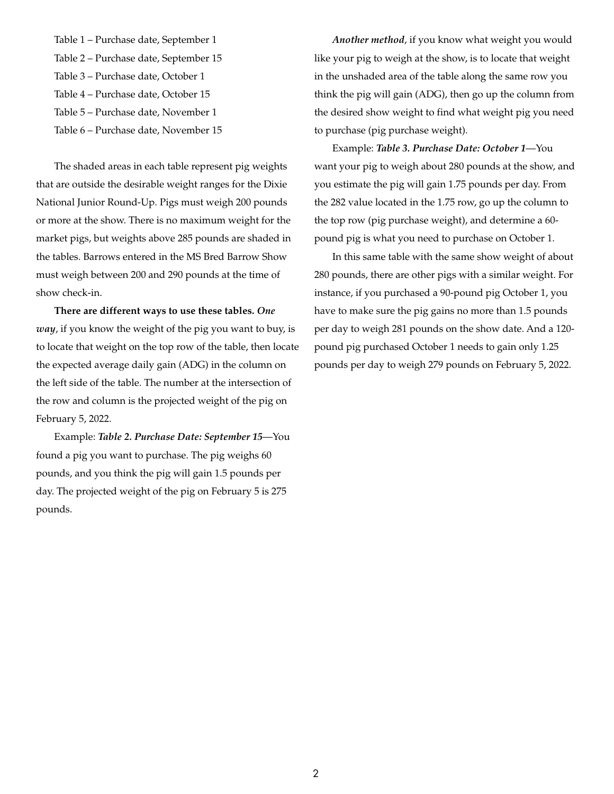Table 1 – Purchase date, September 1 Table 2 – Purchase date, September 15 Table 3 – Purchase date, October 1 Table 4 – Purchase date, October 15 Table 5 – Purchase date, November 1 Table 6 – Purchase date, November 15

The shaded areas in each table represent pig weights that are outside the desirable weight ranges for the Dixie National Junior Round-Up. Pigs must weigh 200 pounds or more at the show. There is no maximum weight for the market pigs, but weights above 285 pounds are shaded in the tables. Barrows entered in the MS Bred Barrow Show must weigh between 200 and 290 pounds at the time of show check-in.

**There are different ways to use these tables.** *One way*, if you know the weight of the pig you want to buy, is to locate that weight on the top row of the table, then locate the expected average daily gain (ADG) in the column on the left side of the table. The number at the intersection of the row and column is the projected weight of the pig on February 5, 2022.

Example: *Table 2. Purchase Date: September 15*—You found a pig you want to purchase. The pig weighs 60 pounds, and you think the pig will gain 1.5 pounds per day. The projected weight of the pig on February 5 is 275 pounds.

*Another method*, if you know what weight you would like your pig to weigh at the show, is to locate that weight in the unshaded area of the table along the same row you think the pig will gain (ADG), then go up the column from the desired show weight to find what weight pig you need to purchase (pig purchase weight).

Example: *Table 3. Purchase Date: October 1*—You want your pig to weigh about 280 pounds at the show, and you estimate the pig will gain 1.75 pounds per day. From the 282 value located in the 1.75 row, go up the column to the top row (pig purchase weight), and determine a 60 pound pig is what you need to purchase on October 1.

In this same table with the same show weight of about 280 pounds, there are other pigs with a similar weight. For instance, if you purchased a 90-pound pig October 1, you have to make sure the pig gains no more than 1.5 pounds per day to weigh 281 pounds on the show date. And a 120 pound pig purchased October 1 needs to gain only 1.25 pounds per day to weigh 279 pounds on February 5, 2022.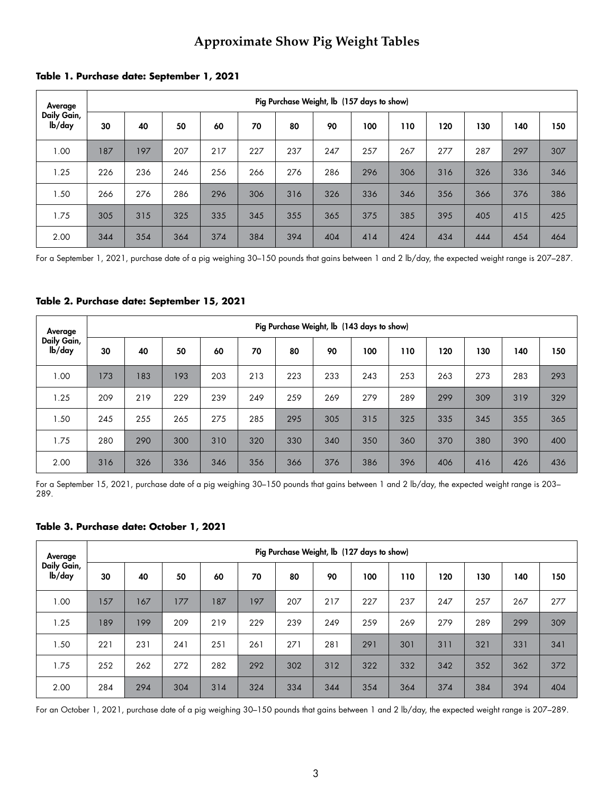# **Approximate Show Pig Weight Tables**

|  |  |  | Table 1. Purchase date: September 1, 2021 |  |
|--|--|--|-------------------------------------------|--|
|--|--|--|-------------------------------------------|--|

| Average               |     | Pig Purchase Weight, Ib (157 days to show) |     |     |     |     |     |     |     |     |     |     |     |  |  |
|-----------------------|-----|--------------------------------------------|-----|-----|-----|-----|-----|-----|-----|-----|-----|-----|-----|--|--|
| Daily Gain,<br>lb/day | 30  | 40                                         | 50  | 60  | 70  | 80  | 90  | 100 | 110 | 120 | 130 | 140 | 150 |  |  |
| 1.00                  | 187 | 197                                        | 207 | 217 | 227 | 237 | 247 | 257 | 267 | 277 | 287 | 297 | 307 |  |  |
| 1.25                  | 226 | 236                                        | 246 | 256 | 266 | 276 | 286 | 296 | 306 | 316 | 326 | 336 | 346 |  |  |
| 1.50                  | 266 | 276                                        | 286 | 296 | 306 | 316 | 326 | 336 | 346 | 356 | 366 | 376 | 386 |  |  |
| 1.75                  | 305 | 315                                        | 325 | 335 | 345 | 355 | 365 | 375 | 385 | 395 | 405 | 415 | 425 |  |  |
| 2.00                  | 344 | 354                                        | 364 | 374 | 384 | 394 | 404 | 414 | 424 | 434 | 444 | 454 | 464 |  |  |

For a September 1, 2021, purchase date of a pig weighing 30–150 pounds that gains between 1 and 2 lb/day, the expected weight range is 207–287.

| Average                            |     | Pig Purchase Weight, lb (143 days to show) |     |     |     |     |     |     |     |     |     |     |     |  |  |
|------------------------------------|-----|--------------------------------------------|-----|-----|-----|-----|-----|-----|-----|-----|-----|-----|-----|--|--|
| Daily Gain,<br>I <sub>b</sub> /day | 30  | 40                                         | 50  | 60  | 70  | 80  | 90  | 100 | 110 | 120 | 130 | 140 | 150 |  |  |
| 1.00                               | 173 | 183                                        | 193 | 203 | 213 | 223 | 233 | 243 | 253 | 263 | 273 | 283 | 293 |  |  |
| 1.25                               | 209 | 219                                        | 229 | 239 | 249 | 259 | 269 | 279 | 289 | 299 | 309 | 319 | 329 |  |  |
| 1.50                               | 245 | 255                                        | 265 | 275 | 285 | 295 | 305 | 315 | 325 | 335 | 345 | 355 | 365 |  |  |
| 1.75                               | 280 | 290                                        | 300 | 310 | 320 | 330 | 340 | 350 | 360 | 370 | 380 | 390 | 400 |  |  |
| 2.00                               | 316 | 326                                        | 336 | 346 | 356 | 366 | 376 | 386 | 396 | 406 | 416 | 426 | 436 |  |  |

#### **Table 2. Purchase date: September 15, 2021**

For a September 15, 2021, purchase date of a pig weighing 30–150 pounds that gains between 1 and 2 lb/day, the expected weight range is 203– 289.

#### **Table 3. Purchase date: October 1, 2021**

| Average               |     | Pig Purchase Weight, lb (127 days to show) |     |     |     |     |     |     |     |     |     |     |     |  |
|-----------------------|-----|--------------------------------------------|-----|-----|-----|-----|-----|-----|-----|-----|-----|-----|-----|--|
| Daily Gain,<br>lb/day | 30  | 40                                         | 50  | 60  | 70  | 80  | 90  | 100 | 110 | 120 | 130 | 140 | 150 |  |
| 1.00                  | 157 | 167                                        | 177 | 187 | 197 | 207 | 217 | 227 | 237 | 247 | 257 | 267 | 277 |  |
| 1.25                  | 189 | 199                                        | 209 | 219 | 229 | 239 | 249 | 259 | 269 | 279 | 289 | 299 | 309 |  |
| 1.50                  | 221 | 231                                        | 241 | 251 | 261 | 271 | 281 | 291 | 301 | 311 | 321 | 331 | 341 |  |
| 1.75                  | 252 | 262                                        | 272 | 282 | 292 | 302 | 312 | 322 | 332 | 342 | 352 | 362 | 372 |  |
| 2.00                  | 284 | 294                                        | 304 | 314 | 324 | 334 | 344 | 354 | 364 | 374 | 384 | 394 | 404 |  |

For an October 1, 2021, purchase date of a pig weighing 30–150 pounds that gains between 1 and 2 lb/day, the expected weight range is 207–289.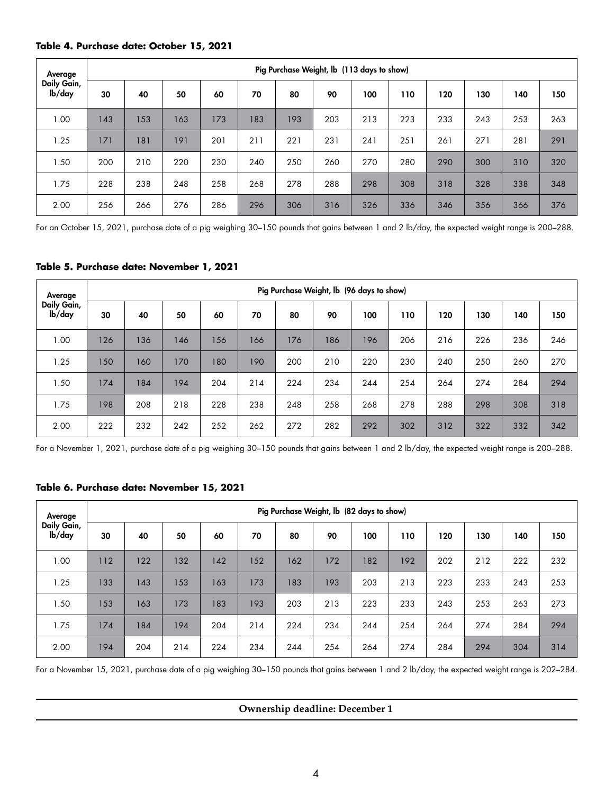#### **Table 4. Purchase date: October 15, 2021**

| Average               |     | Pig Purchase Weight, lb (113 days to show) |     |     |     |     |     |     |     |     |     |     |     |  |  |
|-----------------------|-----|--------------------------------------------|-----|-----|-----|-----|-----|-----|-----|-----|-----|-----|-----|--|--|
| Daily Gain,<br>lb/day | 30  | 40                                         | 50  | 60  | 70  | 80  | 90  | 100 | 110 | 120 | 130 | 140 | 150 |  |  |
| 1.00                  | 143 | 153                                        | 163 | 173 | 183 | 193 | 203 | 213 | 223 | 233 | 243 | 253 | 263 |  |  |
| 1.25                  | 171 | 181                                        | 191 | 201 | 211 | 221 | 231 | 241 | 251 | 261 | 271 | 281 | 291 |  |  |
| 1.50                  | 200 | 210                                        | 220 | 230 | 240 | 250 | 260 | 270 | 280 | 290 | 300 | 310 | 320 |  |  |
| 1.75                  | 228 | 238                                        | 248 | 258 | 268 | 278 | 288 | 298 | 308 | 318 | 328 | 338 | 348 |  |  |
| 2.00                  | 256 | 266                                        | 276 | 286 | 296 | 306 | 316 | 326 | 336 | 346 | 356 | 366 | 376 |  |  |

For an October 15, 2021, purchase date of a pig weighing 30–150 pounds that gains between 1 and 2 lb/day, the expected weight range is 200–288.

#### **Table 5. Purchase date: November 1, 2021**

| Average               |     | Pig Purchase Weight, Ib (96 days to show) |     |     |     |     |     |     |     |     |     |     |     |  |
|-----------------------|-----|-------------------------------------------|-----|-----|-----|-----|-----|-----|-----|-----|-----|-----|-----|--|
| Daily Gain,<br>lb/day | 30  | 40                                        | 50  | 60  | 70  | 80  | 90  | 100 | 110 | 120 | 130 | 140 | 150 |  |
| 1.00                  | 126 | 136                                       | 146 | 156 | 166 | 176 | 186 | 196 | 206 | 216 | 226 | 236 | 246 |  |
| 1.25                  | 150 | 160                                       | 170 | 180 | 190 | 200 | 210 | 220 | 230 | 240 | 250 | 260 | 270 |  |
| 1.50                  | 174 | 184                                       | 194 | 204 | 214 | 224 | 234 | 244 | 254 | 264 | 274 | 284 | 294 |  |
| 1.75                  | 198 | 208                                       | 218 | 228 | 238 | 248 | 258 | 268 | 278 | 288 | 298 | 308 | 318 |  |
| 2.00                  | 222 | 232                                       | 242 | 252 | 262 | 272 | 282 | 292 | 302 | 312 | 322 | 332 | 342 |  |

For a November 1, 2021, purchase date of a pig weighing 30–150 pounds that gains between 1 and 2 lb/day, the expected weight range is 200–288.

#### **Table 6. Purchase date: November 15, 2021**

| Average                            |     | Pig Purchase Weight, Ib (82 days to show) |     |     |     |     |     |     |     |     |     |     |     |  |
|------------------------------------|-----|-------------------------------------------|-----|-----|-----|-----|-----|-----|-----|-----|-----|-----|-----|--|
| Daily Gain,<br>I <sub>b</sub> /day | 30  | 40                                        | 50  | 60  | 70  | 80  | 90  | 100 | 110 | 120 | 130 | 140 | 150 |  |
| 1.00                               | 112 | 122                                       | 132 | 142 | 152 | 162 | 172 | 182 | 192 | 202 | 212 | 222 | 232 |  |
| 1.25                               | 133 | 143                                       | 153 | 163 | 173 | 183 | 193 | 203 | 213 | 223 | 233 | 243 | 253 |  |
| 1.50                               | 153 | 163                                       | 173 | 183 | 193 | 203 | 213 | 223 | 233 | 243 | 253 | 263 | 273 |  |
| 1.75                               | 174 | 184                                       | 194 | 204 | 214 | 224 | 234 | 244 | 254 | 264 | 274 | 284 | 294 |  |
| 2.00                               | 194 | 204                                       | 214 | 224 | 234 | 244 | 254 | 264 | 274 | 284 | 294 | 304 | 314 |  |

For a November 15, 2021, purchase date of a pig weighing 30–150 pounds that gains between 1 and 2 lb/day, the expected weight range is 202–284.

**Ownership deadline: December 1**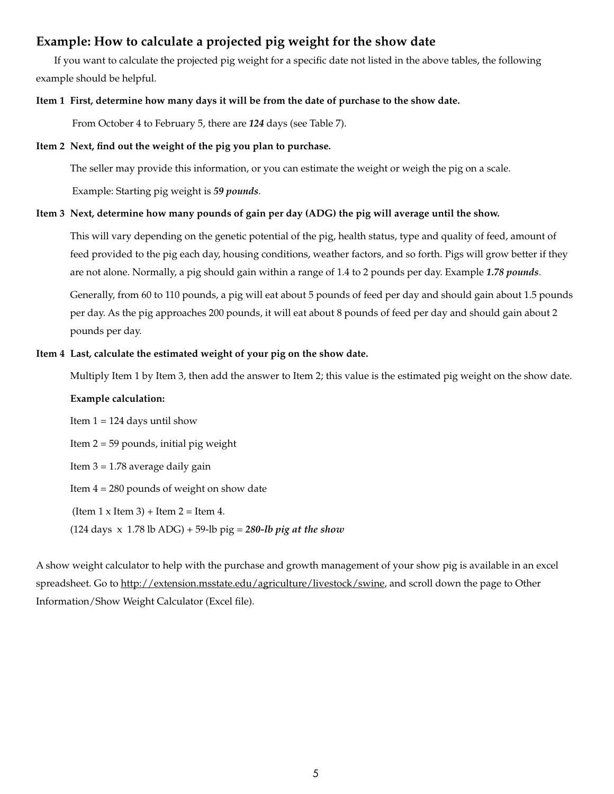## **Example: How to calculate a projected pig weight for the show date**

If you want to calculate the projected pig weight for a specific date not listed in the above tables, the following example should be helpful.

#### **Item 1 First, determine how many days it will be from the date of purchase to the show date.**

From October 4 to February 5, there are *124* days (see Table 7).

#### **Item 2 Next, find out the weight of the pig you plan to purchase.**

The seller may provide this information, or you can estimate the weight or weigh the pig on a scale.

Example: Starting pig weight is *59 pounds*.

#### **Item 3 Next, determine how many pounds of gain per day (ADG) the pig will average until the show.**

This will vary depending on the genetic potential of the pig, health status, type and quality of feed, amount of feed provided to the pig each day, housing conditions, weather factors, and so forth. Pigs will grow better if they are not alone. Normally, a pig should gain within a range of 1.4 to 2 pounds per day. Example *1.78 pounds*.

Generally, from 60 to 110 pounds, a pig will eat about 5 pounds of feed per day and should gain about 1.5 pounds per day. As the pig approaches 200 pounds, it will eat about 8 pounds of feed per day and should gain about 2 pounds per day.

#### **Item 4 Last, calculate the estimated weight of your pig on the show date.**

Multiply Item 1 by Item 3, then add the answer to Item 2; this value is the estimated pig weight on the show date.

#### **Example calculation:**

Item  $1 = 124$  days until show Item 2 = 59 pounds, initial pig weight Item 3 = 1.78 average daily gain Item 4 = 280 pounds of weight on show date (Item  $1 \times$  Item  $3$ ) + Item  $2 =$  Item  $4$ . (124 days x 1.78 lb ADG) + 59-lb pig = *280-lb pig at the show*

A show weight calculator to help with the purchase and growth management of your show pig is available in an excel spreadsheet. Go to [http://extension.msstate.edu/agriculture/livestock/swine,](http://extension.msstate.edu/agriculture/livestock/swine) and scroll down the page to Other Information/Show Weight Calculator (Excel file).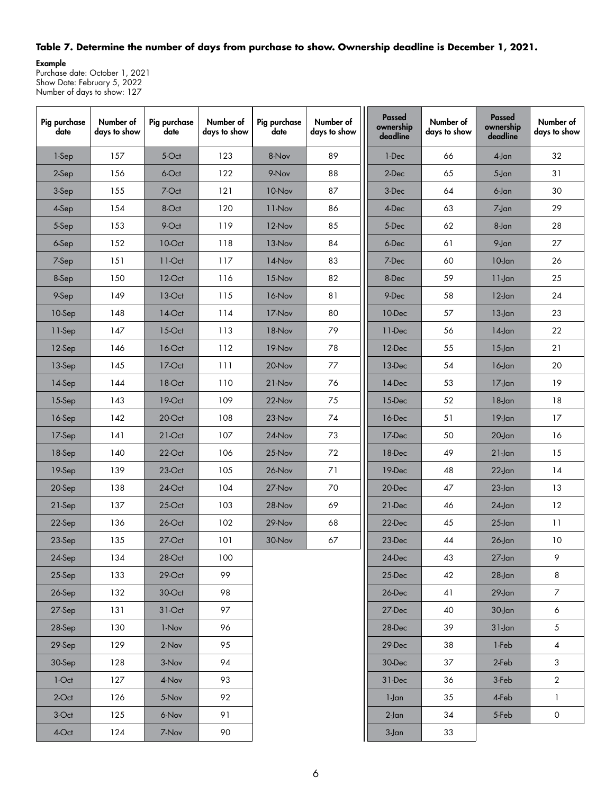### **Table 7. Determine the number of days from purchase to show. Ownership deadline is December 1, 2021.**

Example Purchase date: October 1, 2021 Show Date: February 5, 2022 Number of days to show: 127

| Pig purchase<br>date | Number of<br>days to show | Pig purchase<br>date | Number of<br>days to show | Pig purchase<br>date | Number of<br>days to show | Passed<br>ownership<br>deadline | Number of<br>days to show | Passed<br>ownership<br>deadline | Number of<br>days to show |
|----------------------|---------------------------|----------------------|---------------------------|----------------------|---------------------------|---------------------------------|---------------------------|---------------------------------|---------------------------|
| 1-Sep                | 157                       | 5-Oct                | 123                       | 8-Nov                | 89                        | 1-Dec                           | 66                        | $4$ -Jan                        | 32                        |
| 2-Sep                | 156                       | 6-Oct                | 122                       | 9-Nov                | 88                        | 2-Dec                           | 65                        | $5 - Jan$                       | 31                        |
| 3-Sep                | 155                       | 7-Oct                | 121                       | 10-Nov               | 87                        | 3-Dec                           | 64                        | 6-Jan                           | 30                        |
| 4-Sep                | 154                       | 8-Oct                | 120                       | 11-Nov               | 86                        | 4-Dec                           | 63                        | 7-Jan                           | 29                        |
| 5-Sep                | 153                       | 9-Oct                | 119                       | 12-Nov               | 85                        | 5-Dec                           | 62                        | 8-Jan                           | 28                        |
| 6-Sep                | 152                       | 10-Oct               | 118                       | 13-Nov               | 84                        | 6-Dec                           | 61                        | 9-Jan                           | 27                        |
| 7-Sep                | 151                       | $11-Oct$             | 117                       | 14-Nov               | 83                        | 7-Dec                           | 60                        | $10$ -Jan                       | 26                        |
| 8-Sep                | 150                       | 12-Oct               | 116                       | 15-Nov               | 82                        | 8-Dec                           | 59                        | $11$ -Jan                       | 25                        |
| 9-Sep                | 149                       | 13-Oct               | 115                       | 16-Nov               | 81                        | 9-Dec                           | 58                        | $12$ -Jan                       | 24                        |
| 10-Sep               | 148                       | $14$ -Oct            | 114                       | 17-Nov               | 80                        | 10-Dec                          | 57                        | $13$ -Jan                       | 23                        |
| 11-Sep               | 147                       | 15-Oct               | 113                       | 18-Nov               | 79                        | 11-Dec                          | 56                        | $14$ -Jan                       | 22                        |
| 12-Sep               | 146                       | 16-Oct               | 112                       | 19-Nov               | 78                        | 12-Dec                          | 55                        | $15$ -Jan                       | 21                        |
| 13-Sep               | 145                       | 17-Oct               | 111                       | 20-Nov               | 77                        | 13-Dec                          | 54                        | $16$ -Jan                       | 20                        |
| 14-Sep               | 144                       | 18-Oct               | 110                       | 21-Nov               | 76                        | 14-Dec                          | 53                        | $17$ -Jan                       | 19                        |
| 15-Sep               | 143                       | 19-Oct               | 109                       | $22$ -Nov            | 75                        | 15-Dec                          | 52                        | $18$ -Jan                       | 18                        |
| 16-Sep               | 142                       | 20-Oct               | 108                       | 23-Nov               | 74                        | 16-Dec                          | 51                        | $19$ -Jan                       | 17                        |
| 17-Sep               | 141                       | $21-Oct$             | 107                       | 24-Nov               | 73                        | 17-Dec                          | 50                        | $20$ -Jan                       | 16                        |
| 18-Sep               | 140                       | 22-Oct               | 106                       | 25-Nov               | 72                        | 18-Dec                          | 49                        | $21$ -Jan                       | 15                        |
| 19-Sep               | 139                       | 23-Oct               | 105                       | 26-Nov               | 71                        | 19-Dec                          | 48                        | $22$ -Jan                       | 14                        |
| 20-Sep               | 138                       | 24-Oct               | 104                       | 27-Nov               | 70                        | 20-Dec                          | 47                        | $23$ -Jan                       | 13                        |
| 21-Sep               | 137                       | 25-Oct               | 103                       | 28-Nov               | 69                        | 21-Dec                          | 46                        | $24$ -Jan                       | 12                        |
| 22-Sep               | 136                       | 26-Oct               | 102                       | 29-Nov               | 68                        | 22-Dec                          | 45                        | $25$ -Jan                       | 11                        |
| 23-Sep               | 135                       | $27$ -Oct            | 101                       | 30-Nov               | 67                        | 23-Dec                          | 44                        | $26$ -Jan                       | 10                        |
| 24-Sep               | 134                       | 28-Oct               | 100                       |                      |                           | 24-Dec                          | 43                        | $27$ -Jan                       | 9.                        |
| 25-Sep               | 133                       | 29-Oct               | 99                        |                      |                           | 25-Dec                          | 42                        | $28$ -Jan                       | 8                         |
| 26-Sep               | 132                       | 30-Oct               | 98                        |                      |                           | 26-Dec                          | 41                        | $29$ -Jan                       | $\overline{7}$            |
| 27-Sep               | 131                       | $31-Oct$             | 97                        |                      |                           | 27-Dec                          | 40                        | 30-Jan                          | 6                         |
| 28-Sep               | 130                       | 1-Nov                | 96                        |                      |                           | 28-Dec                          | 39                        | $31$ -Jan                       | $\mathfrak{S}$            |
| 29-Sep               | 129                       | 2-Nov                | 95                        |                      |                           | 29-Dec                          | 38                        | 1-Feb                           | $\overline{4}$            |
| 30-Sep               | 128                       | 3-Nov                | 94                        |                      |                           | 30-Dec                          | 37                        | 2-Feb                           | $\mathbf{3}$              |
| 1-Oct                | 127                       | 4-Nov                | 93                        |                      |                           | 31-Dec                          | 36                        | 3-Feb                           | $\overline{2}$            |
| 2-Oct                | 126                       | 5-Nov                | 92                        |                      |                           | 1-Jan                           | 35                        | 4-Feb                           | 1                         |
| 3-Oct                | 125                       | 6-Nov                | 91                        |                      |                           | $2$ -Jan                        | 34                        | 5-Feb                           | $\circ$                   |
| 4-Oct                | 124                       | 7-Nov                | 90                        |                      |                           | $3-Jan$                         | $33\,$                    |                                 |                           |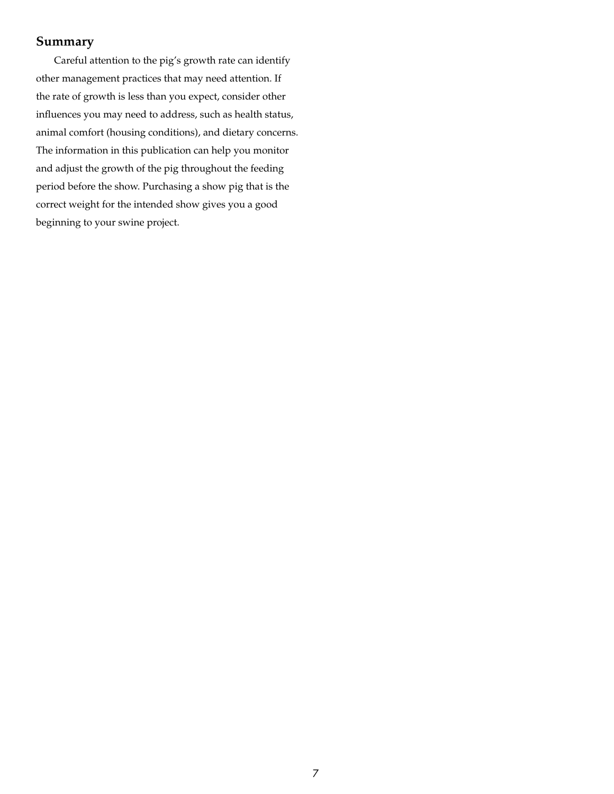## **Summary**

Careful attention to the pig's growth rate can identify other management practices that may need attention. If the rate of growth is less than you expect, consider other influences you may need to address, such as health status, animal comfort (housing conditions), and dietary concerns. The information in this publication can help you monitor and adjust the growth of the pig throughout the feeding period before the show. Purchasing a show pig that is the correct weight for the intended show gives you a good beginning to your swine project.